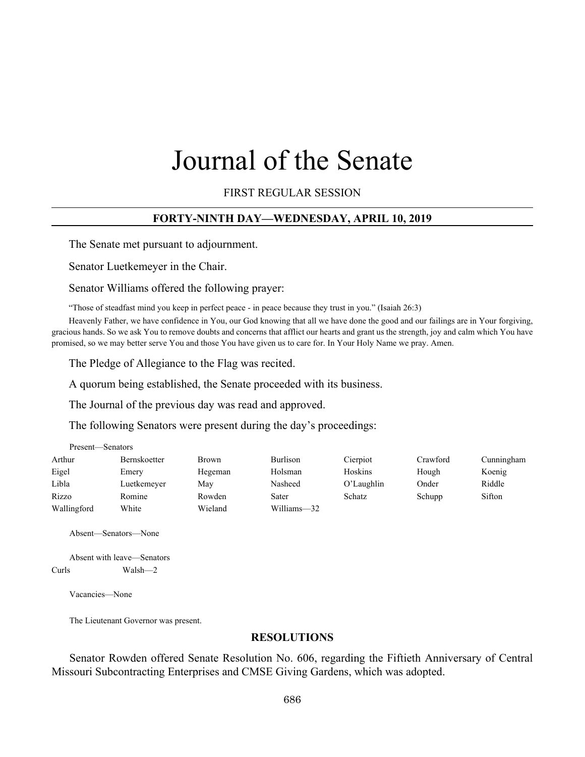# Journal of the Senate

FIRST REGULAR SESSION

#### **FORTY-NINTH DAY—WEDNESDAY, APRIL 10, 2019**

The Senate met pursuant to adjournment.

Senator Luetkemeyer in the Chair.

Senator Williams offered the following prayer:

"Those of steadfast mind you keep in perfect peace - in peace because they trust in you." (Isaiah 26:3)

Heavenly Father, we have confidence in You, our God knowing that all we have done the good and our failings are in Your forgiving, gracious hands. So we ask You to remove doubts and concerns that afflict our hearts and grant us the strength, joy and calm which You have promised, so we may better serve You and those You have given us to care for. In Your Holy Name we pray. Amen.

The Pledge of Allegiance to the Flag was recited.

A quorum being established, the Senate proceeded with its business.

The Journal of the previous day was read and approved.

The following Senators were present during the day's proceedings:

| Present—Senators |              |              |             |            |          |            |
|------------------|--------------|--------------|-------------|------------|----------|------------|
| Arthur           | Bernskoetter | <b>Brown</b> | Burlison    | Cierpiot   | Crawford | Cunningham |
| Eigel            | Emery        | Hegeman      | Holsman     | Hoskins    | Hough    | Koenig     |
| Libla            | Luetkemeyer  | Mav          | Nasheed     | O'Laughlin | Onder    | Riddle     |
| Rizzo            | Romine       | Rowden       | Sater       | Schatz     | Schupp   | Sifton     |
| Wallingford      | White        | Wieland      | Williams-32 |            |          |            |

Absent—Senators—None

Absent with leave—Senators Curls Walsh—2

Vacancies—None

Present—Senators

The Lieutenant Governor was present.

#### **RESOLUTIONS**

Senator Rowden offered Senate Resolution No. 606, regarding the Fiftieth Anniversary of Central Missouri Subcontracting Enterprises and CMSE Giving Gardens, which was adopted.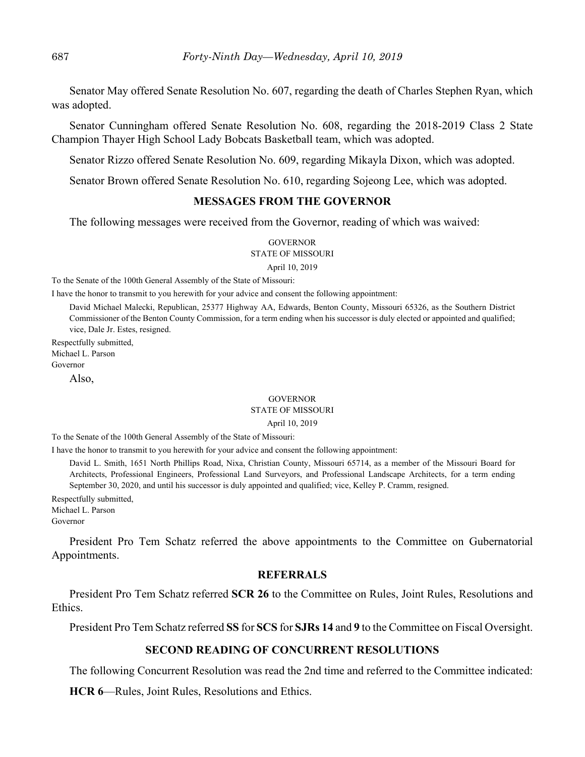Senator May offered Senate Resolution No. 607, regarding the death of Charles Stephen Ryan, which was adopted.

Senator Cunningham offered Senate Resolution No. 608, regarding the 2018-2019 Class 2 State Champion Thayer High School Lady Bobcats Basketball team, which was adopted.

Senator Rizzo offered Senate Resolution No. 609, regarding Mikayla Dixon, which was adopted.

Senator Brown offered Senate Resolution No. 610, regarding Sojeong Lee, which was adopted.

## **MESSAGES FROM THE GOVERNOR**

The following messages were received from the Governor, reading of which was waived:

## **GOVERNOR**

STATE OF MISSOURI

April 10, 2019

To the Senate of the 100th General Assembly of the State of Missouri:

I have the honor to transmit to you herewith for your advice and consent the following appointment:

David Michael Malecki, Republican, 25377 Highway AA, Edwards, Benton County, Missouri 65326, as the Southern District Commissioner of the Benton County Commission, for a term ending when his successor is duly elected or appointed and qualified; vice, Dale Jr. Estes, resigned.

Respectfully submitted,

Michael L. Parson

Governor

Also,

#### GOVERNOR

## STATE OF MISSOURI

April 10, 2019

To the Senate of the 100th General Assembly of the State of Missouri:

I have the honor to transmit to you herewith for your advice and consent the following appointment:

David L. Smith, 1651 North Phillips Road, Nixa, Christian County, Missouri 65714, as a member of the Missouri Board for Architects, Professional Engineers, Professional Land Surveyors, and Professional Landscape Architects, for a term ending September 30, 2020, and until his successor is duly appointed and qualified; vice, Kelley P. Cramm, resigned.

Respectfully submitted, Michael L. Parson

Governor

President Pro Tem Schatz referred the above appointments to the Committee on Gubernatorial Appointments.

## **REFERRALS**

President Pro Tem Schatz referred **SCR 26** to the Committee on Rules, Joint Rules, Resolutions and Ethics.

President Pro Tem Schatz referred **SS** for **SCS** for **SJRs 14** and **9** to the Committee on Fiscal Oversight.

#### **SECOND READING OF CONCURRENT RESOLUTIONS**

The following Concurrent Resolution was read the 2nd time and referred to the Committee indicated:

**HCR 6**––Rules, Joint Rules, Resolutions and Ethics.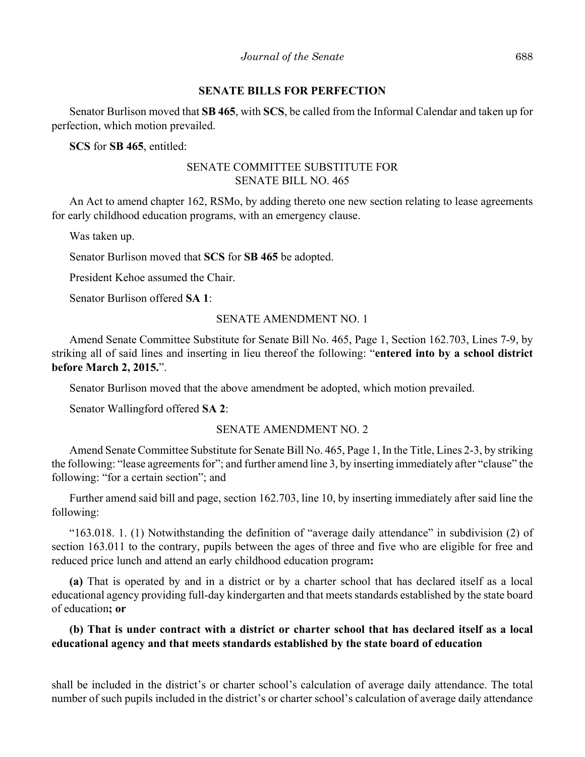#### **SENATE BILLS FOR PERFECTION**

Senator Burlison moved that **SB 465**, with **SCS**, be called from the Informal Calendar and taken up for perfection, which motion prevailed.

**SCS** for **SB 465**, entitled:

# SENATE COMMITTEE SUBSTITUTE FOR SENATE BILL NO. 465

An Act to amend chapter 162, RSMo, by adding thereto one new section relating to lease agreements for early childhood education programs, with an emergency clause.

Was taken up.

Senator Burlison moved that **SCS** for **SB 465** be adopted.

President Kehoe assumed the Chair.

Senator Burlison offered **SA 1**:

## SENATE AMENDMENT NO. 1

Amend Senate Committee Substitute for Senate Bill No. 465, Page 1, Section 162.703, Lines 7-9, by striking all of said lines and inserting in lieu thereof the following: "**entered into by a school district before March 2, 2015.**".

Senator Burlison moved that the above amendment be adopted, which motion prevailed.

Senator Wallingford offered **SA 2**:

## SENATE AMENDMENT NO. 2

Amend Senate Committee Substitute for Senate Bill No. 465, Page 1, In the Title, Lines 2-3, by striking the following: "lease agreements for"; and further amend line 3, by inserting immediately after "clause" the following: "for a certain section"; and

Further amend said bill and page, section 162.703, line 10, by inserting immediately after said line the following:

"163.018. 1. (1) Notwithstanding the definition of "average daily attendance" in subdivision (2) of section 163.011 to the contrary, pupils between the ages of three and five who are eligible for free and reduced price lunch and attend an early childhood education program**:**

**(a)** That is operated by and in a district or by a charter school that has declared itself as a local educational agency providing full-day kindergarten and that meets standards established by the state board of education**; or**

# **(b) That is under contract with a district or charter school that has declared itself as a local educational agency and that meets standards established by the state board of education**

shall be included in the district's or charter school's calculation of average daily attendance. The total number of such pupils included in the district's or charter school's calculation of average daily attendance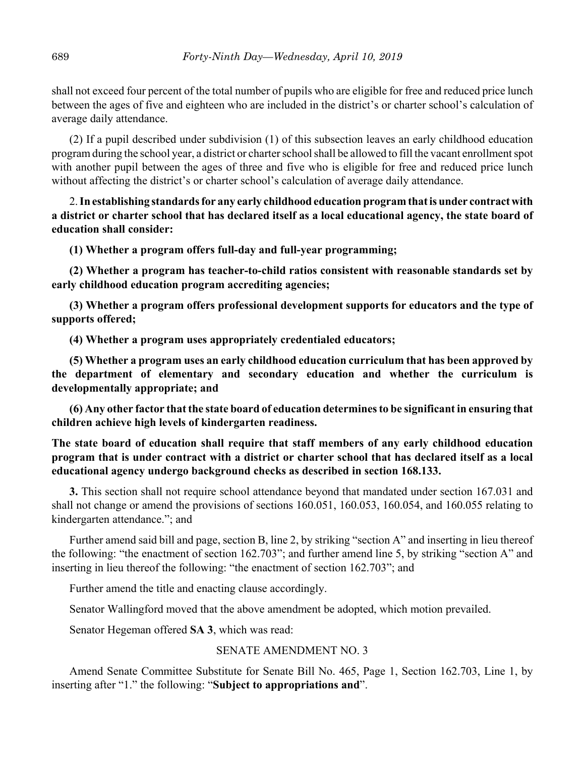shall not exceed four percent of the total number of pupils who are eligible for free and reduced price lunch between the ages of five and eighteen who are included in the district's or charter school's calculation of average daily attendance.

(2) If a pupil described under subdivision (1) of this subsection leaves an early childhood education program during the school year, a district or charter school shall be allowed to fill the vacant enrollment spot with another pupil between the ages of three and five who is eligible for free and reduced price lunch without affecting the district's or charter school's calculation of average daily attendance.

2. **In establishing standards for any early childhood education program that is under contract with a district or charter school that has declared itself as a local educational agency, the state board of education shall consider:**

**(1) Whether a program offers full-day and full-year programming;**

**(2) Whether a program has teacher-to-child ratios consistent with reasonable standards set by early childhood education program accrediting agencies;**

**(3) Whether a program offers professional development supports for educators and the type of supports offered;**

**(4) Whether a program uses appropriately credentialed educators;**

**(5) Whether a program uses an early childhood education curriculum that has been approved by the department of elementary and secondary education and whether the curriculum is developmentally appropriate; and**

**(6) Any other factor that the state board of education determines to be significant in ensuring that children achieve high levels of kindergarten readiness.**

# **The state board of education shall require that staff members of any early childhood education program that is under contract with a district or charter school that has declared itself as a local educational agency undergo background checks as described in section 168.133.**

**3.** This section shall not require school attendance beyond that mandated under section 167.031 and shall not change or amend the provisions of sections 160.051, 160.053, 160.054, and 160.055 relating to kindergarten attendance."; and

Further amend said bill and page, section B, line 2, by striking "section A" and inserting in lieu thereof the following: "the enactment of section 162.703"; and further amend line 5, by striking "section A" and inserting in lieu thereof the following: "the enactment of section 162.703"; and

Further amend the title and enacting clause accordingly.

Senator Wallingford moved that the above amendment be adopted, which motion prevailed.

Senator Hegeman offered **SA 3**, which was read:

## SENATE AMENDMENT NO. 3

Amend Senate Committee Substitute for Senate Bill No. 465, Page 1, Section 162.703, Line 1, by inserting after "1." the following: "**Subject to appropriations and**".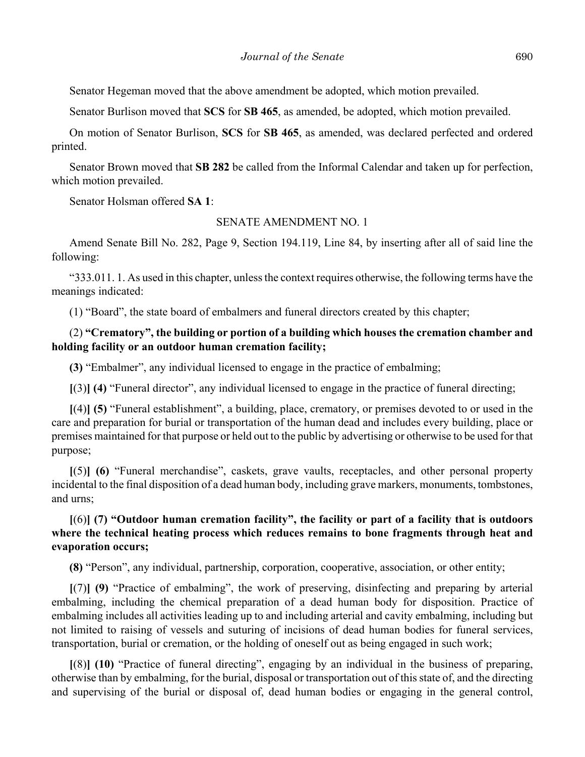Senator Hegeman moved that the above amendment be adopted, which motion prevailed.

Senator Burlison moved that **SCS** for **SB 465**, as amended, be adopted, which motion prevailed.

On motion of Senator Burlison, **SCS** for **SB 465**, as amended, was declared perfected and ordered printed.

Senator Brown moved that **SB 282** be called from the Informal Calendar and taken up for perfection, which motion prevailed.

Senator Holsman offered **SA 1**:

#### SENATE AMENDMENT NO. 1

Amend Senate Bill No. 282, Page 9, Section 194.119, Line 84, by inserting after all of said line the following:

"333.011. 1. As used in this chapter, unless the context requires otherwise, the following terms have the meanings indicated:

(1) "Board", the state board of embalmers and funeral directors created by this chapter;

# (2) **"Crematory", the building or portion of a building which houses the cremation chamber and holding facility or an outdoor human cremation facility;**

**(3)** "Embalmer", any individual licensed to engage in the practice of embalming;

**[**(3)**] (4)** "Funeral director", any individual licensed to engage in the practice of funeral directing;

**[**(4)**] (5)** "Funeral establishment", a building, place, crematory, or premises devoted to or used in the care and preparation for burial or transportation of the human dead and includes every building, place or premises maintained for that purpose or held out to the public by advertising or otherwise to be used for that purpose;

**[**(5)**] (6)** "Funeral merchandise", caskets, grave vaults, receptacles, and other personal property incidental to the final disposition of a dead human body, including grave markers, monuments, tombstones, and urns;

# **[**(6)**] (7) "Outdoor human cremation facility", the facility or part of a facility that is outdoors where the technical heating process which reduces remains to bone fragments through heat and evaporation occurs;**

**(8)** "Person", any individual, partnership, corporation, cooperative, association, or other entity;

**[**(7)**] (9)** "Practice of embalming", the work of preserving, disinfecting and preparing by arterial embalming, including the chemical preparation of a dead human body for disposition. Practice of embalming includes all activities leading up to and including arterial and cavity embalming, including but not limited to raising of vessels and suturing of incisions of dead human bodies for funeral services, transportation, burial or cremation, or the holding of oneself out as being engaged in such work;

**[**(8)**] (10)** "Practice of funeral directing", engaging by an individual in the business of preparing, otherwise than by embalming, for the burial, disposal or transportation out of this state of, and the directing and supervising of the burial or disposal of, dead human bodies or engaging in the general control,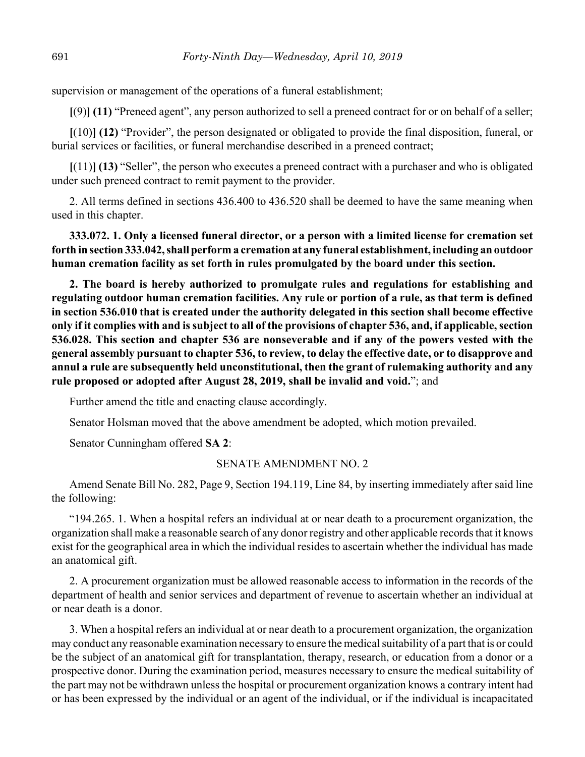supervision or management of the operations of a funeral establishment;

**[**(9)**] (11)** "Preneed agent", any person authorized to sell a preneed contract for or on behalf of a seller;

**[**(10)**] (12)** "Provider", the person designated or obligated to provide the final disposition, funeral, or burial services or facilities, or funeral merchandise described in a preneed contract;

**[**(11)**] (13)** "Seller", the person who executes a preneed contract with a purchaser and who is obligated under such preneed contract to remit payment to the provider.

2. All terms defined in sections 436.400 to 436.520 shall be deemed to have the same meaning when used in this chapter.

**333.072. 1. Only a licensed funeral director, or a person with a limited license for cremation set forth in section 333.042, shall perform a cremation at any funeral establishment, including an outdoor human cremation facility as set forth in rules promulgated by the board under this section.**

**2. The board is hereby authorized to promulgate rules and regulations for establishing and regulating outdoor human cremation facilities. Any rule or portion of a rule, as that term is defined in section 536.010 that is created under the authority delegated in this section shall become effective only if it complies with and is subject to all of the provisions of chapter 536, and, if applicable, section 536.028. This section and chapter 536 are nonseverable and if any of the powers vested with the general assembly pursuant to chapter 536, to review, to delay the effective date, or to disapprove and annul a rule are subsequently held unconstitutional, then the grant of rulemaking authority and any rule proposed or adopted after August 28, 2019, shall be invalid and void.**"; and

Further amend the title and enacting clause accordingly.

Senator Holsman moved that the above amendment be adopted, which motion prevailed.

Senator Cunningham offered **SA 2**:

#### SENATE AMENDMENT NO. 2

Amend Senate Bill No. 282, Page 9, Section 194.119, Line 84, by inserting immediately after said line the following:

"194.265. 1. When a hospital refers an individual at or near death to a procurement organization, the organization shall make a reasonable search of any donor registry and other applicable records that it knows exist for the geographical area in which the individual resides to ascertain whether the individual has made an anatomical gift.

2. A procurement organization must be allowed reasonable access to information in the records of the department of health and senior services and department of revenue to ascertain whether an individual at or near death is a donor.

3. When a hospital refers an individual at or near death to a procurement organization, the organization may conduct any reasonable examination necessary to ensure the medical suitability of a part that is or could be the subject of an anatomical gift for transplantation, therapy, research, or education from a donor or a prospective donor. During the examination period, measures necessary to ensure the medical suitability of the part may not be withdrawn unless the hospital or procurement organization knows a contrary intent had or has been expressed by the individual or an agent of the individual, or if the individual is incapacitated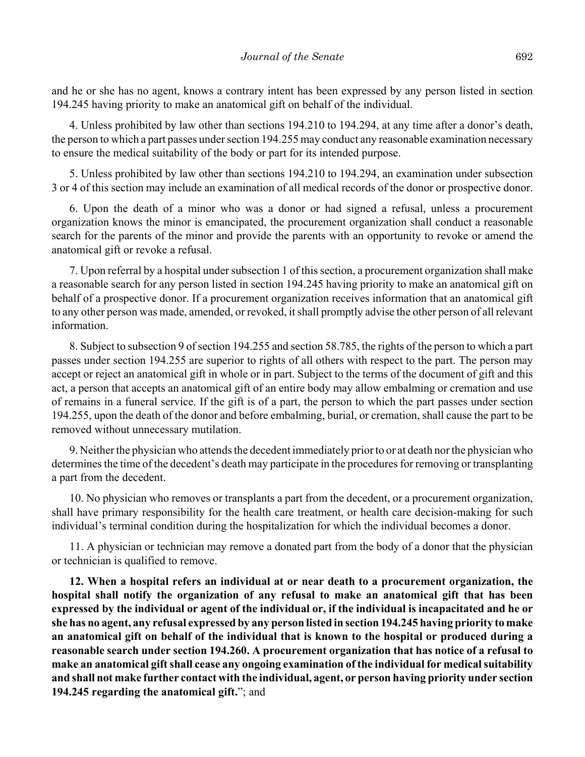and he or she has no agent, knows a contrary intent has been expressed by any person listed in section 194.245 having priority to make an anatomical gift on behalf of the individual.

4. Unless prohibited by law other than sections 194.210 to 194.294, at any time after a donor's death, the person to which a part passes under section 194.255 may conduct any reasonable examination necessary to ensure the medical suitability of the body or part for its intended purpose.

5. Unless prohibited by law other than sections 194.210 to 194.294, an examination under subsection 3 or 4 of this section may include an examination of all medical records of the donor or prospective donor.

6. Upon the death of a minor who was a donor or had signed a refusal, unless a procurement organization knows the minor is emancipated, the procurement organization shall conduct a reasonable search for the parents of the minor and provide the parents with an opportunity to revoke or amend the anatomical gift or revoke a refusal.

7. Upon referral by a hospital under subsection 1 of this section, a procurement organization shall make a reasonable search for any person listed in section 194.245 having priority to make an anatomical gift on behalf of a prospective donor. If a procurement organization receives information that an anatomical gift to any other person was made, amended, or revoked, it shall promptly advise the other person of all relevant information.

8. Subject to subsection 9 of section 194.255 and section 58.785, the rights of the person to which a part passes under section 194.255 are superior to rights of all others with respect to the part. The person may accept or reject an anatomical gift in whole or in part. Subject to the terms of the document of gift and this act, a person that accepts an anatomical gift of an entire body may allow embalming or cremation and use of remains in a funeral service. If the gift is of a part, the person to which the part passes under section 194.255, upon the death of the donor and before embalming, burial, or cremation, shall cause the part to be removed without unnecessary mutilation.

9. Neither the physician who attends the decedent immediately prior to or at death nor the physician who determines the time of the decedent's death may participate in the procedures for removing or transplanting a part from the decedent.

10. No physician who removes or transplants a part from the decedent, or a procurement organization, shall have primary responsibility for the health care treatment, or health care decision-making for such individual's terminal condition during the hospitalization for which the individual becomes a donor.

11. A physician or technician may remove a donated part from the body of a donor that the physician or technician is qualified to remove.

**12. When a hospital refers an individual at or near death to a procurement organization, the hospital shall notify the organization of any refusal to make an anatomical gift that has been expressed by the individual or agent of the individual or, if the individual is incapacitated and he or she has no agent, any refusal expressed by any person listed in section 194.245 having priority to make an anatomical gift on behalf of the individual that is known to the hospital or produced during a reasonable search under section 194.260. A procurement organization that has notice of a refusal to make an anatomical gift shall cease any ongoing examination of the individual for medical suitability and shall not make further contact with the individual, agent, or person having priority under section 194.245 regarding the anatomical gift.**"; and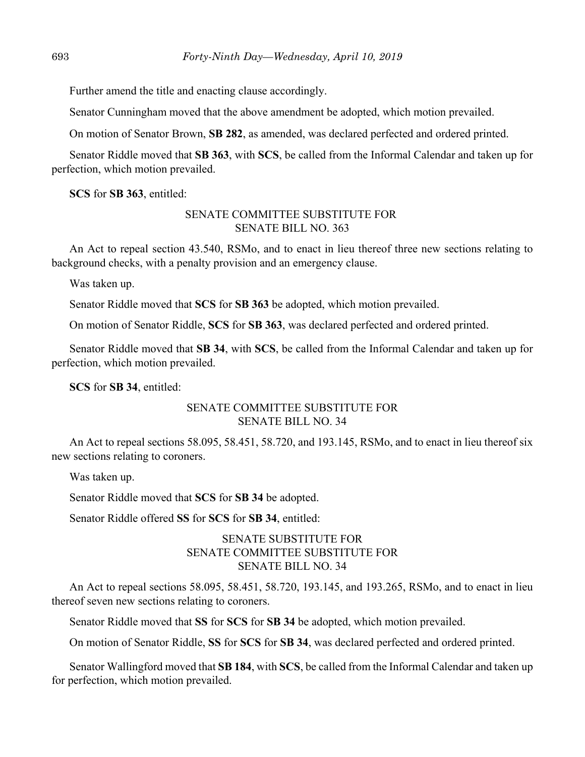Further amend the title and enacting clause accordingly.

Senator Cunningham moved that the above amendment be adopted, which motion prevailed.

On motion of Senator Brown, **SB 282**, as amended, was declared perfected and ordered printed.

Senator Riddle moved that **SB 363**, with **SCS**, be called from the Informal Calendar and taken up for perfection, which motion prevailed.

**SCS** for **SB 363**, entitled:

## SENATE COMMITTEE SUBSTITUTE FOR SENATE BILL NO. 363

An Act to repeal section 43.540, RSMo, and to enact in lieu thereof three new sections relating to background checks, with a penalty provision and an emergency clause.

Was taken up.

Senator Riddle moved that **SCS** for **SB 363** be adopted, which motion prevailed.

On motion of Senator Riddle, **SCS** for **SB 363**, was declared perfected and ordered printed.

Senator Riddle moved that **SB 34**, with **SCS**, be called from the Informal Calendar and taken up for perfection, which motion prevailed.

**SCS** for **SB 34**, entitled:

# SENATE COMMITTEE SUBSTITUTE FOR SENATE BILL NO. 34

An Act to repeal sections 58.095, 58.451, 58.720, and 193.145, RSMo, and to enact in lieu thereof six new sections relating to coroners.

Was taken up.

Senator Riddle moved that **SCS** for **SB 34** be adopted.

Senator Riddle offered **SS** for **SCS** for **SB 34**, entitled:

# SENATE SUBSTITUTE FOR SENATE COMMITTEE SUBSTITUTE FOR SENATE BILL NO. 34

An Act to repeal sections 58.095, 58.451, 58.720, 193.145, and 193.265, RSMo, and to enact in lieu thereof seven new sections relating to coroners.

Senator Riddle moved that **SS** for **SCS** for **SB 34** be adopted, which motion prevailed.

On motion of Senator Riddle, **SS** for **SCS** for **SB 34**, was declared perfected and ordered printed.

Senator Wallingford moved that **SB 184**, with **SCS**, be called from the Informal Calendar and taken up for perfection, which motion prevailed.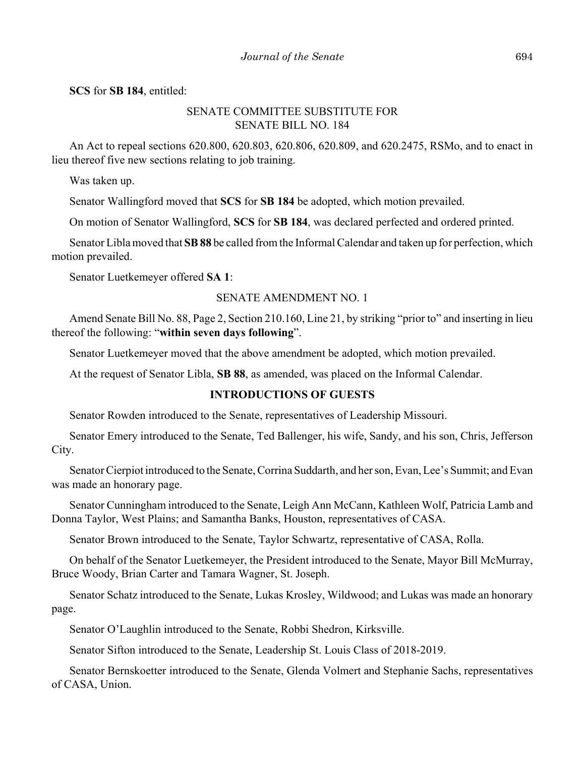**SCS** for **SB 184**, entitled:

# SENATE COMMITTEE SUBSTITUTE FOR SENATE BILL NO. 184

An Act to repeal sections 620.800, 620.803, 620.806, 620.809, and 620.2475, RSMo, and to enact in lieu thereof five new sections relating to job training.

Was taken up.

Senator Wallingford moved that **SCS** for **SB 184** be adopted, which motion prevailed.

On motion of Senator Wallingford, **SCS** for **SB 184**, was declared perfected and ordered printed.

Senator Libla moved that **SB 88** be called from the Informal Calendar and taken up for perfection, which motion prevailed.

Senator Luetkemeyer offered **SA 1**:

## SENATE AMENDMENT NO. 1

Amend Senate Bill No. 88, Page 2, Section 210.160, Line 21, by striking "prior to" and inserting in lieu thereof the following: "**within seven days following**".

Senator Luetkemeyer moved that the above amendment be adopted, which motion prevailed.

At the request of Senator Libla, **SB 88**, as amended, was placed on the Informal Calendar.

# **INTRODUCTIONS OF GUESTS**

Senator Rowden introduced to the Senate, representatives of Leadership Missouri.

Senator Emery introduced to the Senate, Ted Ballenger, his wife, Sandy, and his son, Chris, Jefferson City.

Senator Cierpiot introduced to the Senate, Corrina Suddarth, and her son, Evan, Lee's Summit; and Evan was made an honorary page.

Senator Cunningham introduced to the Senate, Leigh Ann McCann, Kathleen Wolf, Patricia Lamb and Donna Taylor, West Plains; and Samantha Banks, Houston, representatives of CASA.

Senator Brown introduced to the Senate, Taylor Schwartz, representative of CASA, Rolla.

On behalf of the Senator Luetkemeyer, the President introduced to the Senate, Mayor Bill McMurray, Bruce Woody, Brian Carter and Tamara Wagner, St. Joseph.

Senator Schatz introduced to the Senate, Lukas Krosley, Wildwood; and Lukas was made an honorary page.

Senator O'Laughlin introduced to the Senate, Robbi Shedron, Kirksville.

Senator Sifton introduced to the Senate, Leadership St. Louis Class of 2018-2019.

Senator Bernskoetter introduced to the Senate, Glenda Volmert and Stephanie Sachs, representatives of CASA, Union.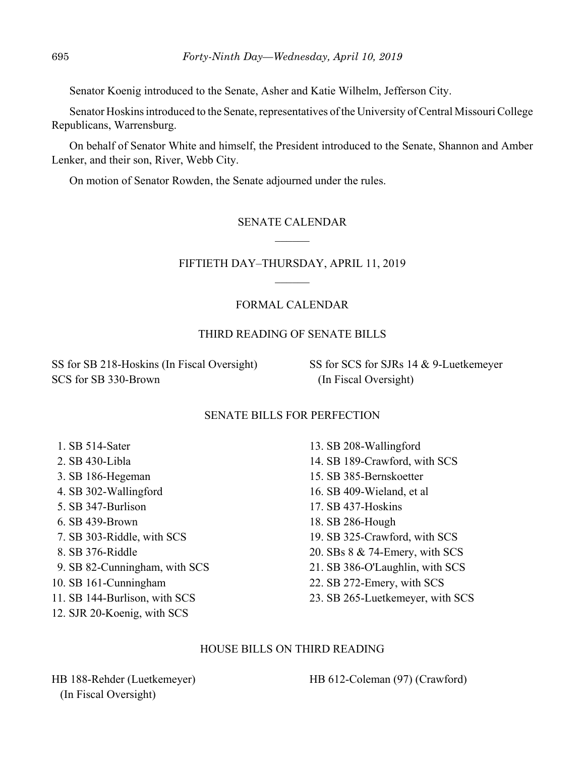Senator Koenig introduced to the Senate, Asher and Katie Wilhelm, Jefferson City.

Senator Hoskins introduced to the Senate, representatives of the University of Central Missouri College Republicans, Warrensburg.

On behalf of Senator White and himself, the President introduced to the Senate, Shannon and Amber Lenker, and their son, River, Webb City.

On motion of Senator Rowden, the Senate adjourned under the rules.

# SENATE CALENDAR

# FIFTIETH DAY–THURSDAY, APRIL 11, 2019

# FORMAL CALENDAR

# THIRD READING OF SENATE BILLS

SS for SB 218-Hoskins (In Fiscal Oversight) SCS for SB 330-Brown

SS for SCS for SJRs 14 & 9-Luetkemeyer (In Fiscal Oversight)

## SENATE BILLS FOR PERFECTION

- 1. SB 514-Sater
- 2. SB 430-Libla
- 3. SB 186-Hegeman
- 4. SB 302-Wallingford
- 5. SB 347-Burlison
- 6. SB 439-Brown
- 7. SB 303-Riddle, with SCS
- 8. SB 376-Riddle
- 9. SB 82-Cunningham, with SCS
- 10. SB 161-Cunningham
- 11. SB 144-Burlison, with SCS
- 12. SJR 20-Koenig, with SCS

13. SB 208-Wallingford 14. SB 189-Crawford, with SCS 15. SB 385-Bernskoetter 16. SB 409-Wieland, et al 17. SB 437-Hoskins 18. SB 286-Hough 19. SB 325-Crawford, with SCS 20. SBs 8 & 74-Emery, with SCS 21. SB 386-O'Laughlin, with SCS 22. SB 272-Emery, with SCS 23. SB 265-Luetkemeyer, with SCS

## HOUSE BILLS ON THIRD READING

HB 188-Rehder (Luetkemeyer) (In Fiscal Oversight)

HB 612-Coleman (97) (Crawford)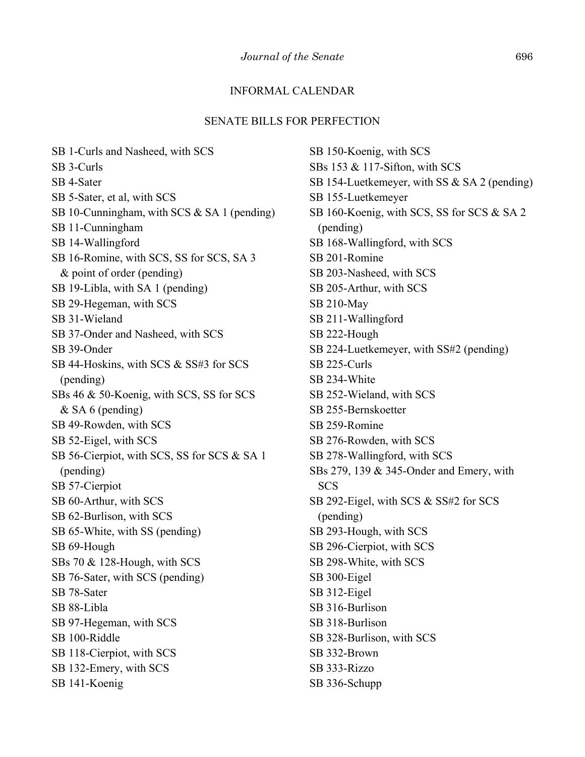## INFORMAL CALENDAR

#### SENATE BILLS FOR PERFECTION

SB 1-Curls and Nasheed, with SCS SB 3-Curls SB 4-Sater SB 5-Sater, et al, with SCS SB 10-Cunningham, with SCS & SA 1 (pending) SB 11-Cunningham SB 14-Wallingford SB 16-Romine, with SCS, SS for SCS, SA 3 & point of order (pending) SB 19-Libla, with SA 1 (pending) SB 29-Hegeman, with SCS SB 31-Wieland SB 37-Onder and Nasheed, with SCS SB 39-Onder SB 44-Hoskins, with SCS & SS#3 for SCS (pending) SBs 46 & 50-Koenig, with SCS, SS for SCS & SA 6 (pending) SB 49-Rowden, with SCS SB 52-Eigel, with SCS SB 56-Cierpiot, with SCS, SS for SCS & SA 1 (pending) SB 57-Cierpiot SB 60-Arthur, with SCS SB 62-Burlison, with SCS SB 65-White, with SS (pending) SB 69-Hough SBs 70 & 128-Hough, with SCS SB 76-Sater, with SCS (pending) SB 78-Sater SB 88-Libla SB 97-Hegeman, with SCS SB 100-Riddle SB 118-Cierpiot, with SCS SB 132-Emery, with SCS SB 141-Koenig

SB 150-Koenig, with SCS SBs 153 & 117-Sifton, with SCS SB 154-Luetkemeyer, with SS & SA 2 (pending) SB 155-Luetkemeyer SB 160-Koenig, with SCS, SS for SCS & SA 2 (pending) SB 168-Wallingford, with SCS SB 201-Romine SB 203-Nasheed, with SCS SB 205-Arthur, with SCS SB 210-May SB 211-Wallingford SB 222-Hough SB 224-Luetkemeyer, with SS#2 (pending) SB 225-Curls SB 234-White SB 252-Wieland, with SCS SB 255-Bernskoetter SB 259-Romine SB 276-Rowden, with SCS SB 278-Wallingford, with SCS SBs 279, 139 & 345-Onder and Emery, with **SCS** SB 292-Eigel, with SCS & SS#2 for SCS (pending) SB 293-Hough, with SCS SB 296-Cierpiot, with SCS SB 298-White, with SCS SB 300-Eigel SB 312-Eigel SB 316-Burlison SB 318-Burlison SB 328-Burlison, with SCS SB 332-Brown SB 333-Rizzo SB 336-Schupp